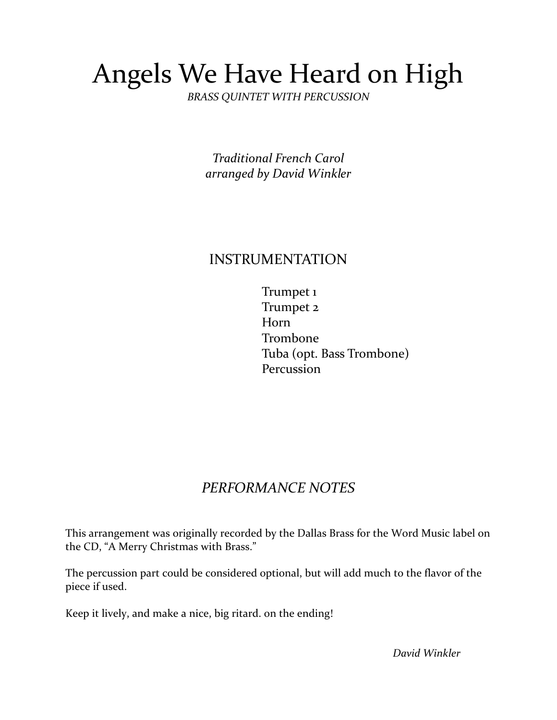# Angels We Have Heard on High

*BRASS QUINTET WITH PERCUSSION*

*Traditional French Carol arranged by David Winkler*

#### INSTRUMENTATION

 Trumpet 1 Trumpet 2 Horn Trombone Tuba (opt. Bass Trombone) Percussion

### *PERFORMANCE NOTES*

This arrangement was originally recorded by the Dallas Brass for the Word Music label on the CD, "A Merry Christmas with Brass."

The percussion part could be considered optional, but will add much to the flavor of the piece if used.

Keep it lively, and make a nice, big ritard. on the ending!

 *David Winkler*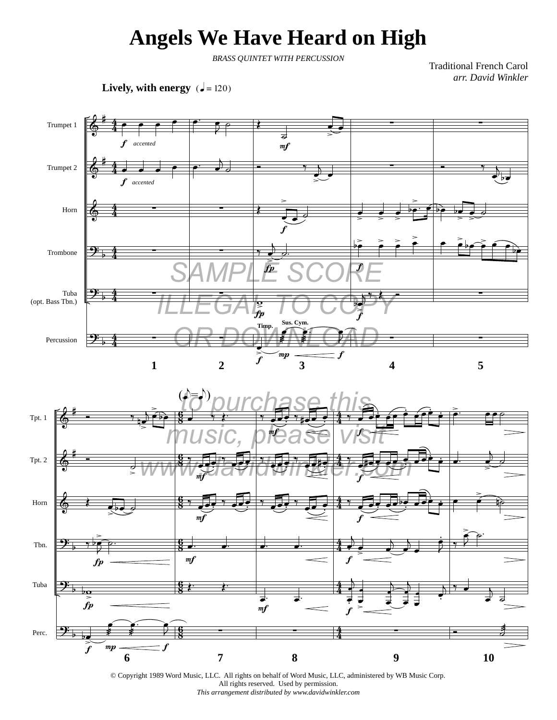## **Angels We Have Heard on High**

*BRASS QUINTET WITH PERCUSSION*

Traditional French Carol *arr. David Winkler*

**Lively, with energy**  $\overline{(-120)}$ 





© Copyright 1989 Word Music, LLC. All rights on behalf of Word Music, LLC, administered by WB Music Corp. All rights reserved. Used by permission. *This arrangement distributed by www.davidwinkler.com*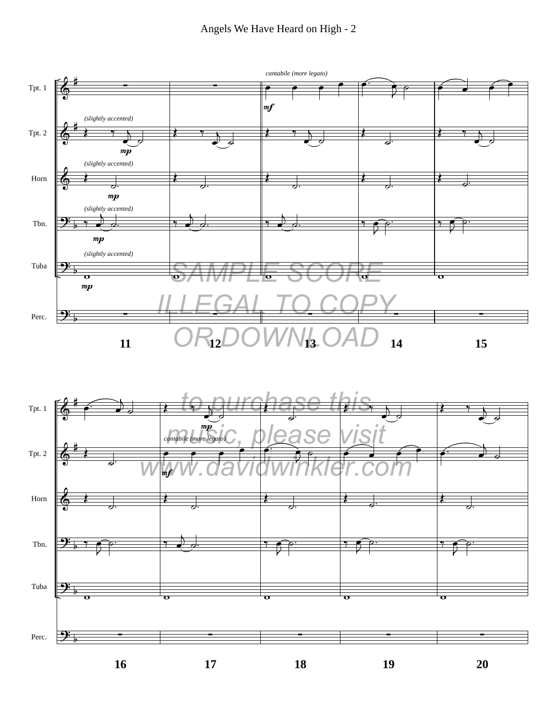#### Angels We Have Heard on High - 2



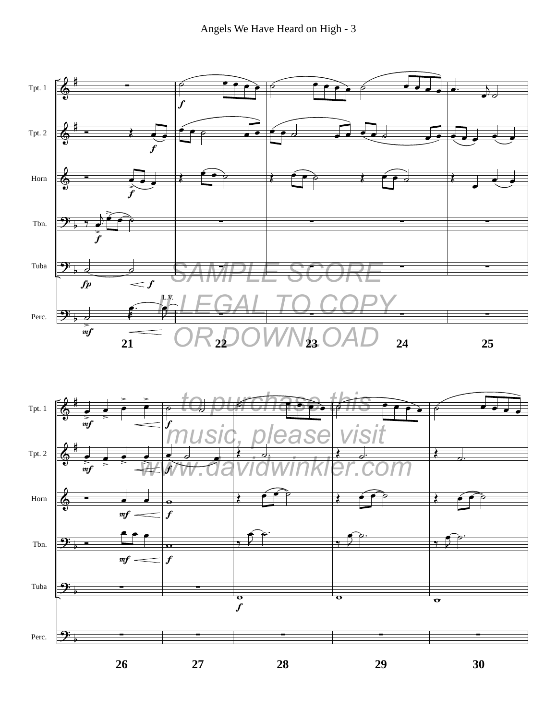

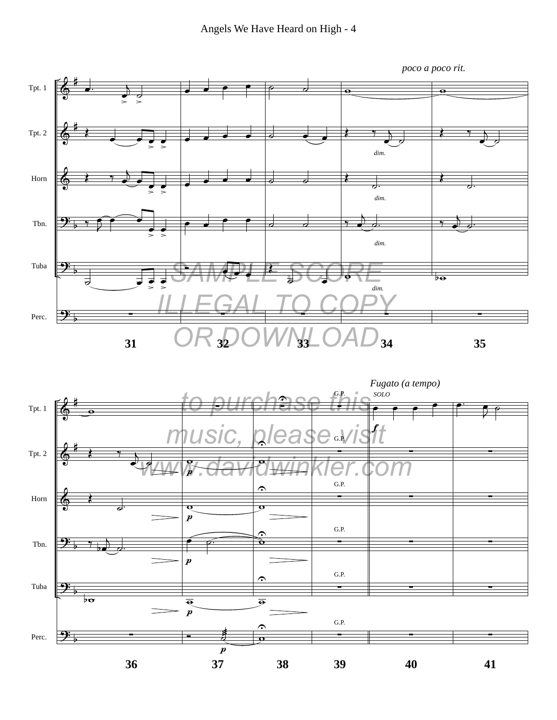

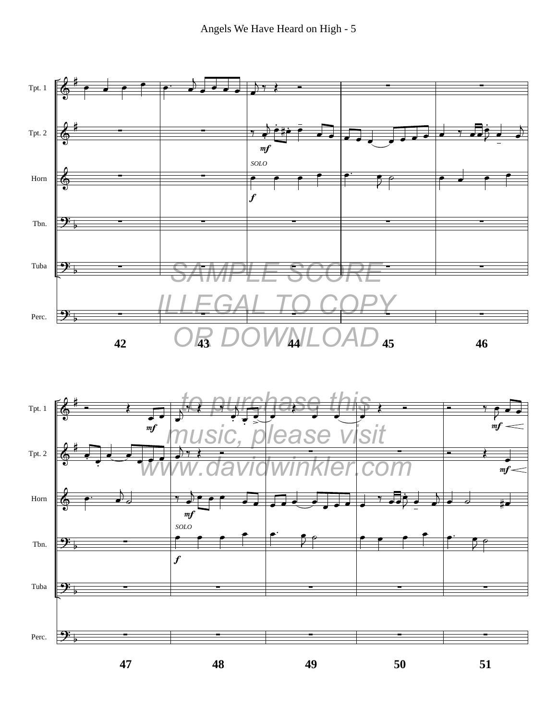

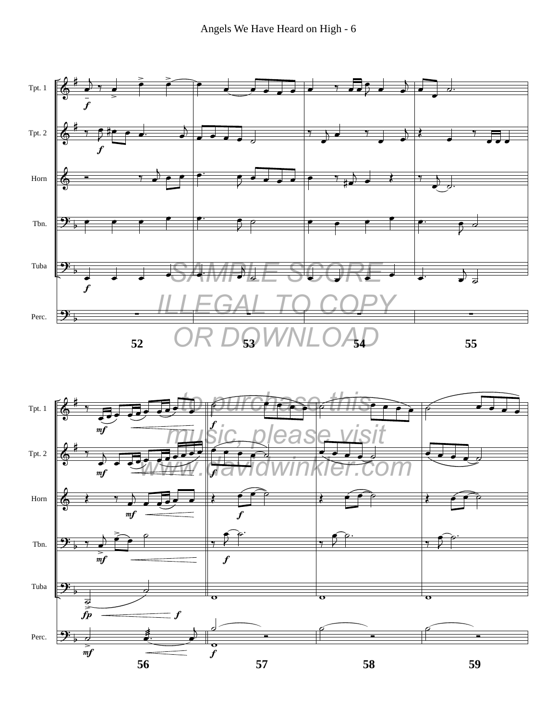